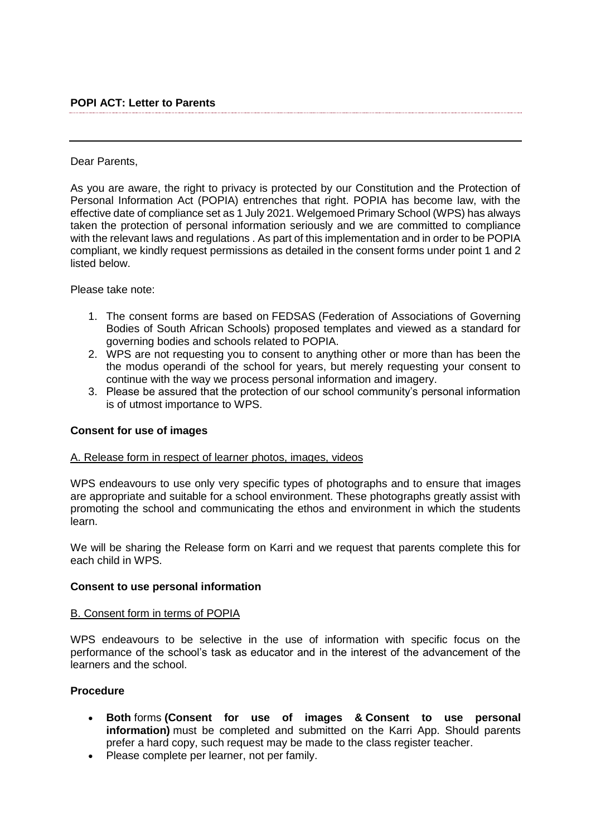### Dear Parents,

As you are aware, the right to privacy is protected by our Constitution and the Protection of Personal Information Act (POPIA) entrenches that right. POPIA has become law, with the effective date of compliance set as 1 July 2021. Welgemoed Primary School (WPS) has always taken the protection of personal information seriously and we are committed to compliance with the relevant laws and regulations . As part of this implementation and in order to be POPIA compliant, we kindly request permissions as detailed in the consent forms under point 1 and 2 listed below.

Please take note:

- 1. The consent forms are based on FEDSAS (Federation of Associations of Governing Bodies of South African Schools) proposed templates and viewed as a standard for governing bodies and schools related to POPIA.
- 2. WPS are not requesting you to consent to anything other or more than has been the the modus operandi of the school for years, but merely requesting your consent to continue with the way we process personal information and imagery.
- 3. Please be assured that the protection of our school community's personal information is of utmost importance to WPS.

# **Consent for use of images**

#### A. Release form in respect of learner photos, images, videos

WPS endeavours to use only very specific types of photographs and to ensure that images are appropriate and suitable for a school environment. These photographs greatly assist with promoting the school and communicating the ethos and environment in which the students learn.

We will be sharing the Release form on Karri and we request that parents complete this for each child in WPS.

#### **Consent to use personal information**

#### B. Consent form in terms of POPIA

WPS endeavours to be selective in the use of information with specific focus on the performance of the school's task as educator and in the interest of the advancement of the learners and the school.

# **Procedure**

- **Both** forms **(Consent for use of images & Consent to use personal information)** must be completed and submitted on the Karri App. Should parents prefer a hard copy, such request may be made to the class register teacher.
- Please complete per learner, not per family.